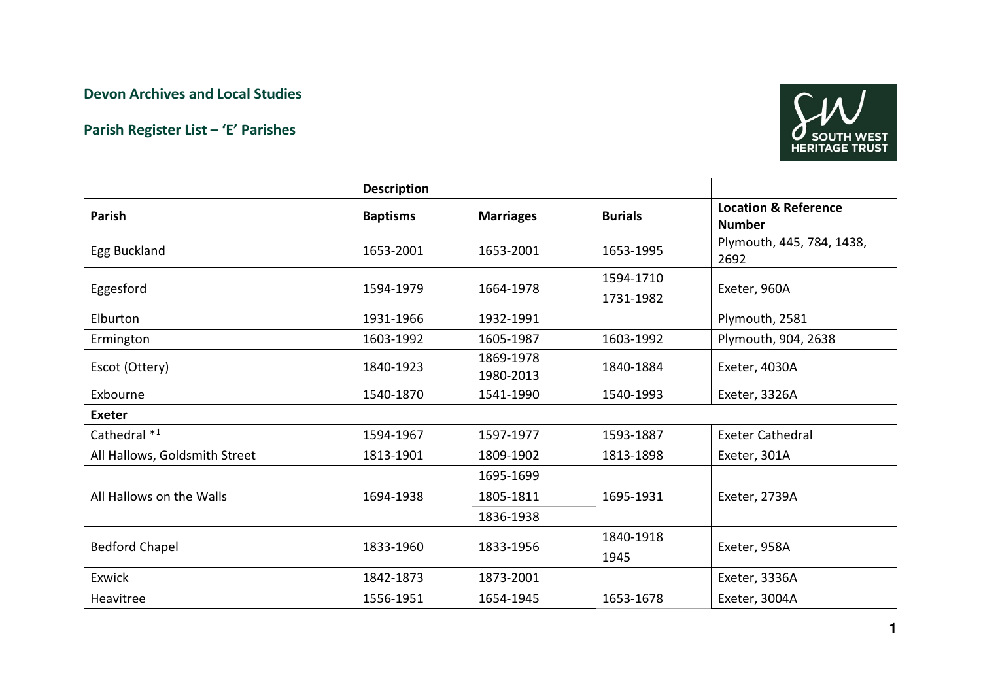## Devon Archives and Local Studies

## Parish Register List – 'E' Parishes



|                               | <b>Description</b> |                        |                |                                                  |  |  |  |
|-------------------------------|--------------------|------------------------|----------------|--------------------------------------------------|--|--|--|
| Parish                        | <b>Baptisms</b>    | <b>Marriages</b>       | <b>Burials</b> | <b>Location &amp; Reference</b><br><b>Number</b> |  |  |  |
| Egg Buckland                  | 1653-2001          | 1653-2001              | 1653-1995      | Plymouth, 445, 784, 1438,<br>2692                |  |  |  |
| Eggesford                     |                    | 1664-1978              | 1594-1710      |                                                  |  |  |  |
|                               | 1594-1979          |                        | 1731-1982      | Exeter, 960A                                     |  |  |  |
| Elburton                      | 1931-1966          | 1932-1991              |                | Plymouth, 2581                                   |  |  |  |
| Ermington                     | 1603-1992          | 1605-1987              | 1603-1992      | Plymouth, 904, 2638                              |  |  |  |
| Escot (Ottery)                | 1840-1923          | 1869-1978<br>1980-2013 | 1840-1884      | Exeter, 4030A                                    |  |  |  |
| Exbourne                      | 1540-1870          | 1541-1990              | 1540-1993      | Exeter, 3326A                                    |  |  |  |
| <b>Exeter</b>                 |                    |                        |                |                                                  |  |  |  |
| Cathedral *1                  | 1594-1967          | 1597-1977              | 1593-1887      | <b>Exeter Cathedral</b>                          |  |  |  |
| All Hallows, Goldsmith Street | 1813-1901          | 1809-1902              | 1813-1898      | Exeter, 301A                                     |  |  |  |
| All Hallows on the Walls      |                    | 1695-1699              | 1695-1931      | Exeter, 2739A                                    |  |  |  |
|                               | 1694-1938          | 1805-1811              |                |                                                  |  |  |  |
|                               |                    | 1836-1938              |                |                                                  |  |  |  |
| <b>Bedford Chapel</b>         |                    | 1833-1956              | 1840-1918      |                                                  |  |  |  |
|                               | 1833-1960          |                        | 1945           | Exeter, 958A                                     |  |  |  |
| Exwick                        | 1842-1873          | 1873-2001              |                | Exeter, 3336A                                    |  |  |  |
| Heavitree                     | 1556-1951          | 1654-1945              | 1653-1678      | Exeter, 3004A                                    |  |  |  |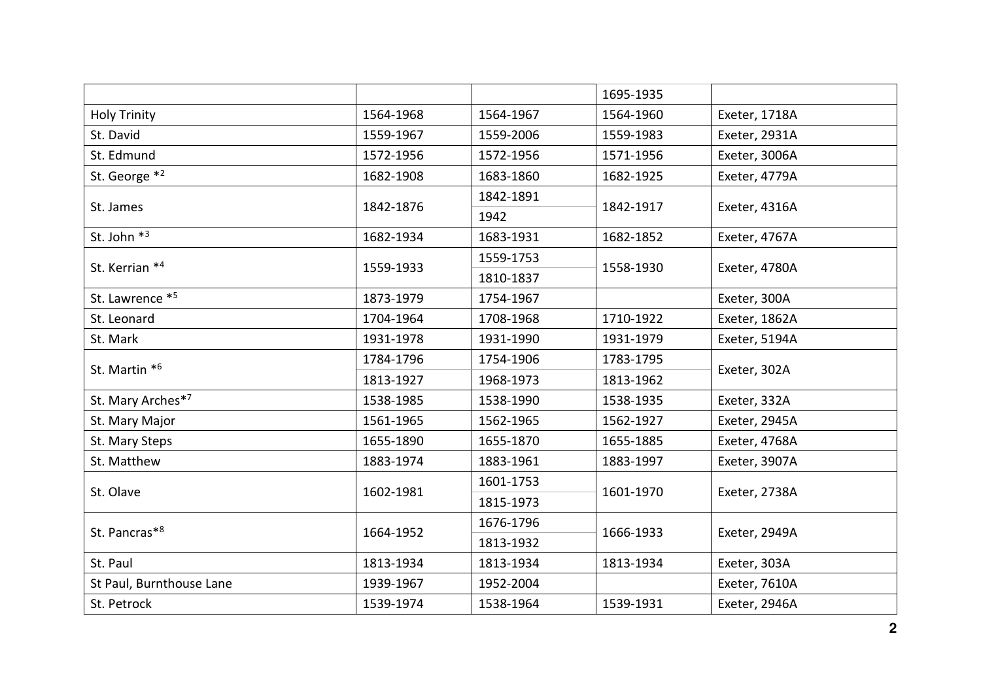|                          |           |           | 1695-1935 |               |  |
|--------------------------|-----------|-----------|-----------|---------------|--|
| <b>Holy Trinity</b>      | 1564-1968 | 1564-1967 | 1564-1960 | Exeter, 1718A |  |
| St. David                | 1559-1967 | 1559-2006 | 1559-1983 | Exeter, 2931A |  |
| St. Edmund               | 1572-1956 | 1572-1956 | 1571-1956 | Exeter, 3006A |  |
| St. George *2            | 1682-1908 | 1683-1860 | 1682-1925 | Exeter, 4779A |  |
| St. James                |           | 1842-1891 |           | Exeter, 4316A |  |
|                          | 1842-1876 | 1942      | 1842-1917 |               |  |
| St. John *3              | 1682-1934 | 1683-1931 | 1682-1852 | Exeter, 4767A |  |
| St. Kerrian *4           |           | 1559-1753 |           | Exeter, 4780A |  |
|                          | 1559-1933 | 1810-1837 | 1558-1930 |               |  |
| St. Lawrence *5          | 1873-1979 | 1754-1967 |           | Exeter, 300A  |  |
| St. Leonard              | 1704-1964 | 1708-1968 | 1710-1922 | Exeter, 1862A |  |
| St. Mark                 | 1931-1978 | 1931-1990 | 1931-1979 | Exeter, 5194A |  |
| St. Martin *6            | 1784-1796 | 1754-1906 | 1783-1795 | Exeter, 302A  |  |
|                          | 1813-1927 | 1968-1973 | 1813-1962 |               |  |
| St. Mary Arches*7        | 1538-1985 | 1538-1990 | 1538-1935 | Exeter, 332A  |  |
| St. Mary Major           | 1561-1965 | 1562-1965 | 1562-1927 | Exeter, 2945A |  |
| St. Mary Steps           | 1655-1890 | 1655-1870 | 1655-1885 | Exeter, 4768A |  |
| St. Matthew              | 1883-1974 | 1883-1961 | 1883-1997 | Exeter, 3907A |  |
| St. Olave                | 1602-1981 | 1601-1753 | 1601-1970 | Exeter, 2738A |  |
|                          |           | 1815-1973 |           |               |  |
| St. Pancras*8            | 1664-1952 | 1676-1796 | 1666-1933 | Exeter, 2949A |  |
|                          |           | 1813-1932 |           |               |  |
| St. Paul                 | 1813-1934 | 1813-1934 | 1813-1934 | Exeter, 303A  |  |
| St Paul, Burnthouse Lane | 1939-1967 | 1952-2004 |           | Exeter, 7610A |  |
| St. Petrock              | 1539-1974 | 1538-1964 | 1539-1931 | Exeter, 2946A |  |
|                          |           |           |           |               |  |